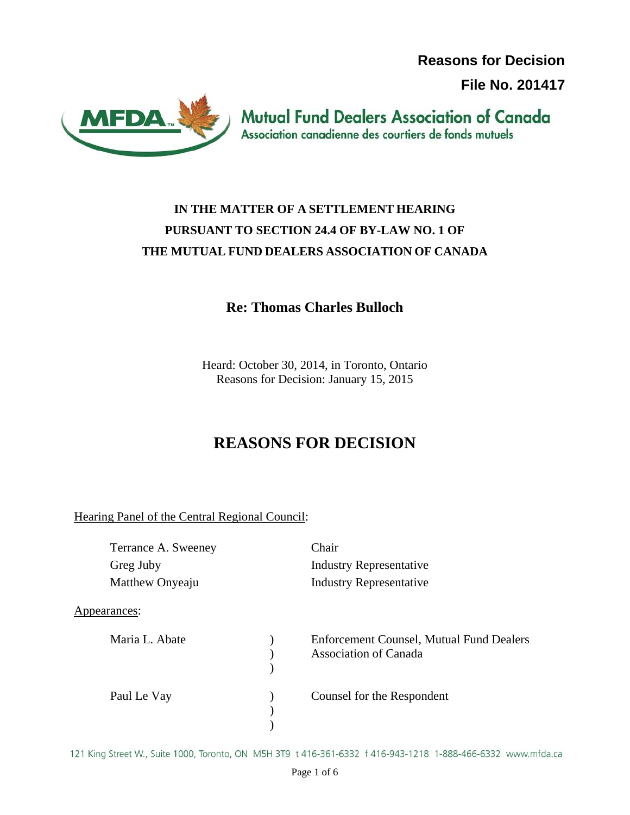**Reasons for Decision**

**File No. 201417**



**Mutual Fund Dealers Association of Canada** Association canadienne des courtiers de fonds mutuels

## **IN THE MATTER OF A SETTLEMENT HEARING PURSUANT TO SECTION 24.4 OF BY-LAW NO. 1 OF THE MUTUAL FUND DEALERS ASSOCIATION OF CANADA**

### **Re: Thomas Charles Bulloch**

Heard: October 30, 2014, in Toronto, Ontario Reasons for Decision: January 15, 2015

# **REASONS FOR DECISION**

Hearing Panel of the Central Regional Council:

| Terrance A. Sweeney | Chair                                           |
|---------------------|-------------------------------------------------|
| Greg Juby           | <b>Industry Representative</b>                  |
| Matthew Onyeaju     | <b>Industry Representative</b>                  |
| Appearances:        |                                                 |
| Maria L. Abate      | <b>Enforcement Counsel, Mutual Fund Dealers</b> |
|                     | <b>Association of Canada</b>                    |
|                     |                                                 |
| Paul Le Vay         | Counsel for the Respondent                      |
|                     |                                                 |
|                     |                                                 |

121 King Street W., Suite 1000, Toronto, ON M5H 3T9 t 416-361-6332 f 416-943-1218 1-888-466-6332 www.mfda.ca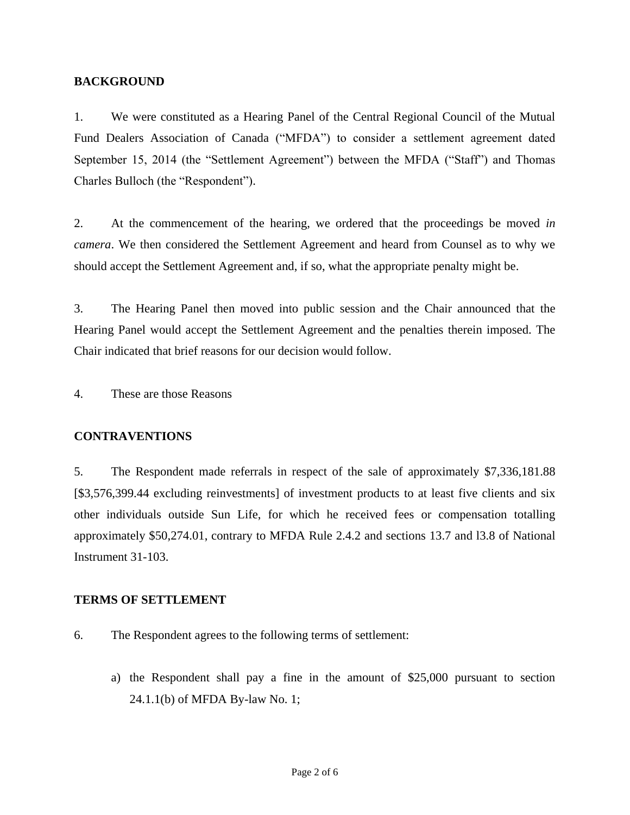#### **BACKGROUND**

1. We were constituted as a Hearing Panel of the Central Regional Council of the Mutual Fund Dealers Association of Canada ("MFDA") to consider a settlement agreement dated September 15, 2014 (the "Settlement Agreement") between the MFDA ("Staff") and Thomas Charles Bulloch (the "Respondent").

2. At the commencement of the hearing, we ordered that the proceedings be moved *in camera*. We then considered the Settlement Agreement and heard from Counsel as to why we should accept the Settlement Agreement and, if so, what the appropriate penalty might be.

3. The Hearing Panel then moved into public session and the Chair announced that the Hearing Panel would accept the Settlement Agreement and the penalties therein imposed. The Chair indicated that brief reasons for our decision would follow.

4. These are those Reasons

#### **CONTRAVENTIONS**

5. The Respondent made referrals in respect of the sale of approximately \$7,336,181.88 [\$3,576,399.44 excluding reinvestments] of investment products to at least five clients and six other individuals outside Sun Life, for which he received fees or compensation totalling approximately \$50,274.01, contrary to MFDA Rule 2.4.2 and sections 13.7 and l3.8 of National Instrument 31-103.

#### **TERMS OF SETTLEMENT**

- 6. The Respondent agrees to the following terms of settlement:
	- a) the Respondent shall pay a fine in the amount of \$25,000 pursuant to section 24.1.1(b) of MFDA By-law No. 1;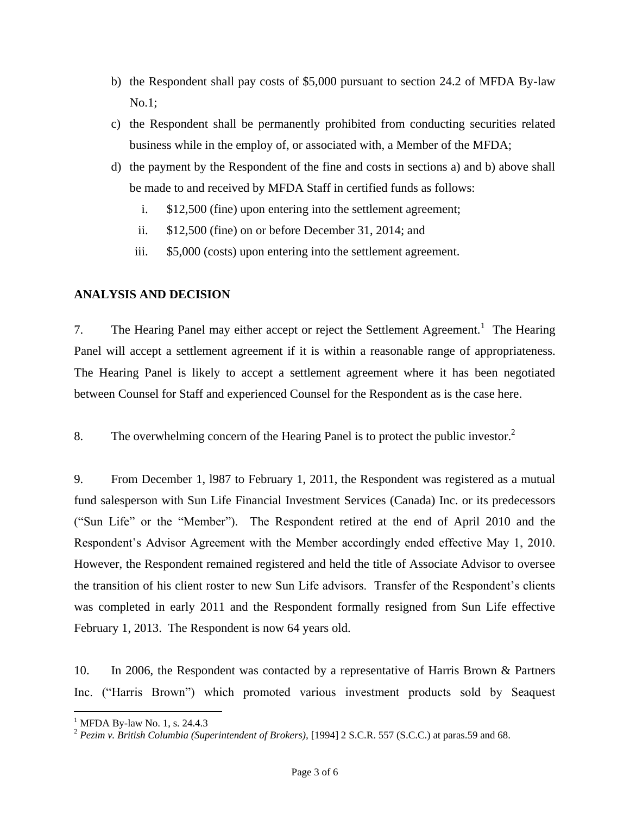- b) the Respondent shall pay costs of \$5,000 pursuant to section 24.2 of MFDA By-law No.1;
- c) the Respondent shall be permanently prohibited from conducting securities related business while in the employ of, or associated with, a Member of the MFDA;
- d) the payment by the Respondent of the fine and costs in sections a) and b) above shall be made to and received by MFDA Staff in certified funds as follows:
	- i. \$12,500 (fine) upon entering into the settlement agreement;
	- ii. \$12,500 (fine) on or before December 31, 2014; and
	- iii. \$5,000 (costs) upon entering into the settlement agreement.

#### **ANALYSIS AND DECISION**

7. The Hearing Panel may either accept or reject the Settlement Agreement.<sup>1</sup> The Hearing Panel will accept a settlement agreement if it is within a reasonable range of appropriateness. The Hearing Panel is likely to accept a settlement agreement where it has been negotiated between Counsel for Staff and experienced Counsel for the Respondent as is the case here.

8. The overwhelming concern of the Hearing Panel is to protect the public investor.<sup>2</sup>

9. From December 1, l987 to February 1, 2011, the Respondent was registered as a mutual fund salesperson with Sun Life Financial Investment Services (Canada) Inc. or its predecessors ("Sun Life" or the "Member"). The Respondent retired at the end of April 2010 and the Respondent's Advisor Agreement with the Member accordingly ended effective May 1, 2010. However, the Respondent remained registered and held the title of Associate Advisor to oversee the transition of his client roster to new Sun Life advisors. Transfer of the Respondent's clients was completed in early 2011 and the Respondent formally resigned from Sun Life effective February 1, 2013. The Respondent is now 64 years old.

10. In 2006, the Respondent was contacted by a representative of Harris Brown & Partners Inc. ("Harris Brown") which promoted various investment products sold by Seaquest

 $\overline{a}$ 

<sup>&</sup>lt;sup>1</sup> MFDA By-law No. 1, s. 24.4.3

<sup>&</sup>lt;sup>2</sup> Pezim v. British Columbia (Superintendent of Brokers), [1994] 2 S.C.R. 557 (S.C.C.) at paras.59 and 68.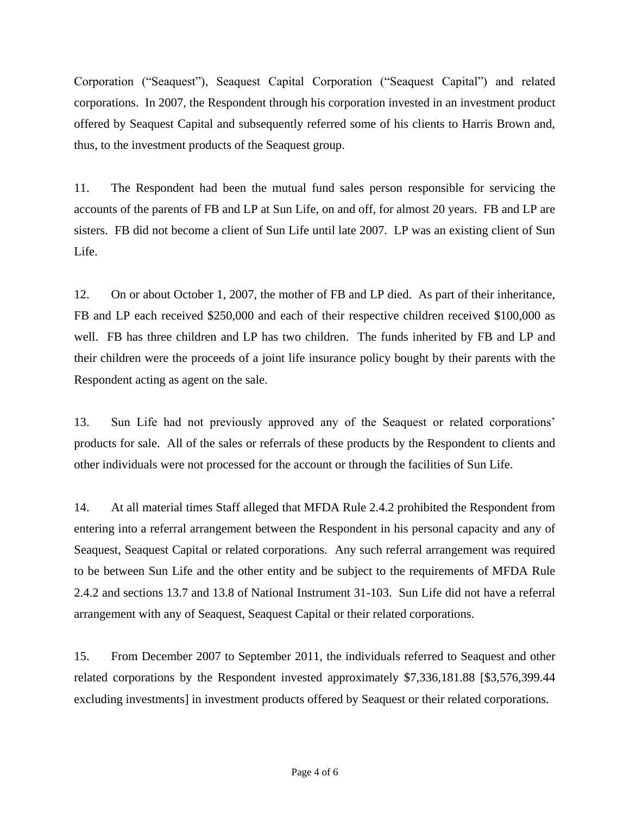Corporation ("Seaquest"), Seaquest Capital Corporation ("Seaquest Capital") and related corporations. In 2007, the Respondent through his corporation invested in an investment product offered by Seaquest Capital and subsequently referred some of his clients to Harris Brown and, thus, to the investment products of the Seaquest group.

11. The Respondent had been the mutual fund sales person responsible for servicing the accounts of the parents of FB and LP at Sun Life, on and off, for almost 20 years. FB and LP are sisters. FB did not become a client of Sun Life until late 2007. LP was an existing client of Sun Life.

12. On or about October 1, 2007, the mother of FB and LP died. As part of their inheritance, FB and LP each received \$250,000 and each of their respective children received \$100,000 as well. FB has three children and LP has two children. The funds inherited by FB and LP and their children were the proceeds of a joint life insurance policy bought by their parents with the Respondent acting as agent on the sale.

13. Sun Life had not previously approved any of the Seaquest or related corporations' products for sale. All of the sales or referrals of these products by the Respondent to clients and other individuals were not processed for the account or through the facilities of Sun Life.

14. At all material times Staff alleged that MFDA Rule 2.4.2 prohibited the Respondent from entering into a referral arrangement between the Respondent in his personal capacity and any of Seaquest, Seaquest Capital or related corporations. Any such referral arrangement was required to be between Sun Life and the other entity and be subject to the requirements of MFDA Rule 2.4.2 and sections 13.7 and 13.8 of National Instrument 31-103. Sun Life did not have a referral arrangement with any of Seaquest, Seaquest Capital or their related corporations.

15. From December 2007 to September 2011, the individuals referred to Seaquest and other related corporations by the Respondent invested approximately \$7,336,181.88 [\$3,576,399.44 excluding investments] in investment products offered by Seaquest or their related corporations.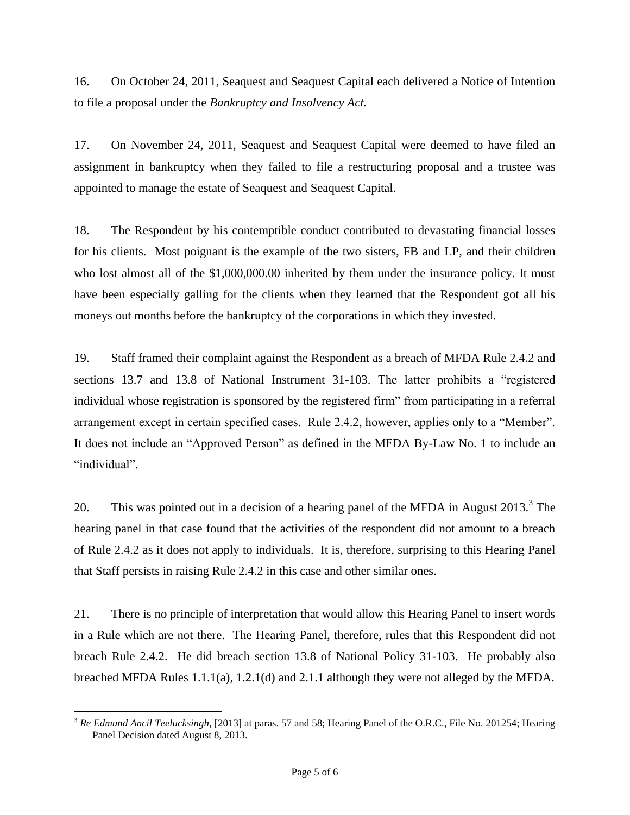16. On October 24, 2011, Seaquest and Seaquest Capital each delivered a Notice of Intention to file a proposal under the *Bankruptcy and Insolvency Act.*

17. On November 24, 2011, Seaquest and Seaquest Capital were deemed to have filed an assignment in bankruptcy when they failed to file a restructuring proposal and a trustee was appointed to manage the estate of Seaquest and Seaquest Capital.

18. The Respondent by his contemptible conduct contributed to devastating financial losses for his clients. Most poignant is the example of the two sisters, FB and LP, and their children who lost almost all of the \$1,000,000.00 inherited by them under the insurance policy. It must have been especially galling for the clients when they learned that the Respondent got all his moneys out months before the bankruptcy of the corporations in which they invested.

19. Staff framed their complaint against the Respondent as a breach of MFDA Rule 2.4.2 and sections 13.7 and 13.8 of National Instrument 31-103. The latter prohibits a "registered individual whose registration is sponsored by the registered firm" from participating in a referral arrangement except in certain specified cases. Rule 2.4.2, however, applies only to a "Member". It does not include an "Approved Person" as defined in the MFDA By-Law No. 1 to include an "individual".

20. This was pointed out in a decision of a hearing panel of the MFDA in August  $2013.<sup>3</sup>$  The hearing panel in that case found that the activities of the respondent did not amount to a breach of Rule 2.4.2 as it does not apply to individuals. It is, therefore, surprising to this Hearing Panel that Staff persists in raising Rule 2.4.2 in this case and other similar ones.

21. There is no principle of interpretation that would allow this Hearing Panel to insert words in a Rule which are not there. The Hearing Panel, therefore, rules that this Respondent did not breach Rule 2.4.2. He did breach section 13.8 of National Policy 31-103. He probably also breached MFDA Rules 1.1.1(a), 1.2.1(d) and 2.1.1 although they were not alleged by the MFDA.

 $\overline{a}$ 

<sup>3</sup> *Re Edmund Ancil Teelucksingh*, [2013] at paras. 57 and 58; Hearing Panel of the O.R.C., File No. 201254; Hearing Panel Decision dated August 8, 2013.